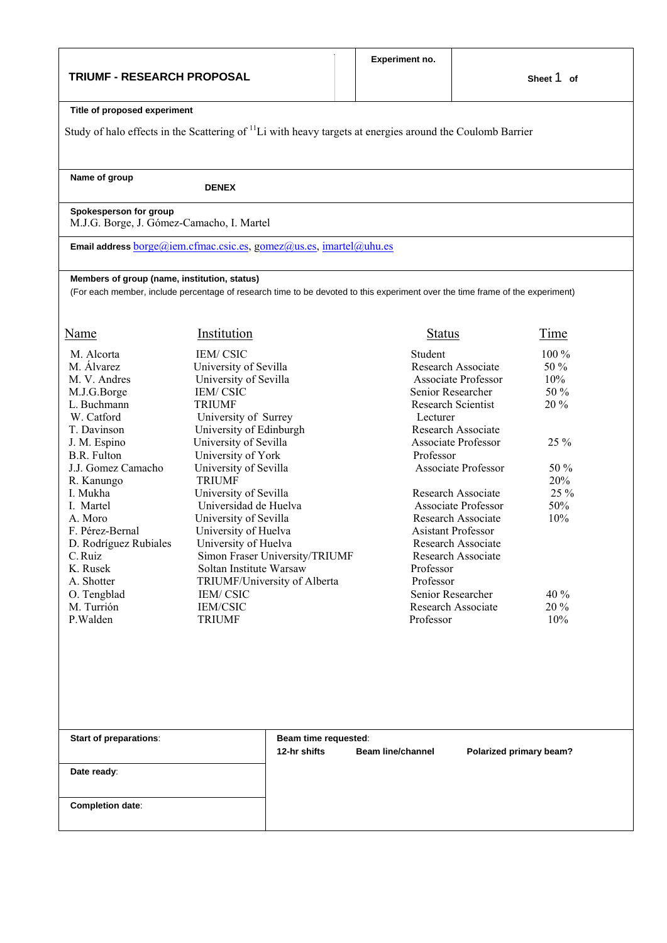## **TRIUMF - RESEARCH PROPOSAL**

#### **Title of proposed experiment**

Study of halo effects in the Scattering of <sup>11</sup>Li with heavy targets at energies around the Coulomb Barrier

**Name of group** 

 **DENEX** 

#### **Spokesperson for group**

M.J.G. Borge, J. Gómez-Camacho, I. Martel

**Email address** borge@iem.cfmac.csic.es, gomez@us.es, imartel@uhu.es

#### **Members of group (name, institution, status)**

(For each member, include percentage of research time to be devoted to this experiment over the time frame of the experiment)

| Name                  | Institution                    | <b>Status</b>              | Time    |
|-----------------------|--------------------------------|----------------------------|---------|
| M. Alcorta            | <b>IEM/CSIC</b>                | Student                    | $100\%$ |
| M. Álvarez            | University of Sevilla          | Research Associate         | 50 %    |
| M. V. Andres          | University of Sevilla          | <b>Associate Professor</b> | 10%     |
| M.J.G.Borge           | <b>IEM/CSIC</b>                | Senior Researcher          | 50 %    |
| L. Buchmann           | <b>TRIUMF</b>                  | <b>Research Scientist</b>  | $20\%$  |
| W. Catford            | University of Surrey           | Lecturer                   |         |
| T. Davinson           | University of Edinburgh        | Research Associate         |         |
| J. M. Espino          | University of Sevilla          | Associate Professor        | 25 %    |
| B.R. Fulton           | University of York             | Professor                  |         |
| J.J. Gomez Camacho    | University of Sevilla          | Associate Professor        | 50 %    |
| R. Kanungo            | <b>TRIUMF</b>                  |                            | 20%     |
| I. Mukha              | University of Sevilla          | Research Associate         | 25 %    |
| I. Martel             | Universidad de Huelva          | Associate Professor        | 50%     |
| A. Moro               | University of Sevilla          | Research Associate         | 10%     |
| F. Pérez-Bernal       | University of Huelva           | <b>Asistant Professor</b>  |         |
| D. Rodríguez Rubiales | University of Huelva           | Research Associate         |         |
| C. Ruiz               | Simon Fraser University/TRIUMF | Research Associate         |         |
| K. Rusek              | Soltan Institute Warsaw        | Professor                  |         |
| A. Shotter            | TRIUMF/University of Alberta   | Professor                  |         |
| O. Tengblad           | <b>IEM/CSIC</b>                | Senior Researcher          | 40 %    |
| M. Turrión            | <b>IEM/CSIC</b>                | Research Associate         | 20 %    |
| P. Walden             | TRIUMF                         | Professor                  | 10%     |
|                       |                                |                            |         |

# **Start of preparations: Beam time requested: 12-hr shifts Beam line/channel Polarized primary beam? Date ready**:

**Completion date**: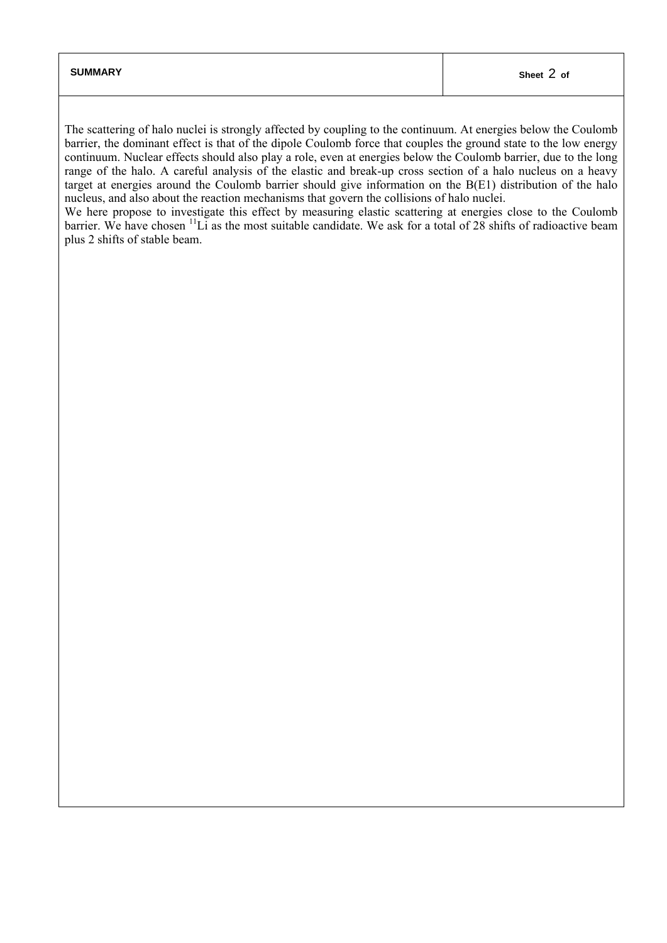# **SUMMARY Sheet** 2 **of**

The scattering of halo nuclei is strongly affected by coupling to the continuum. At energies below the Coulomb barrier, the dominant effect is that of the dipole Coulomb force that couples the ground state to the low energy continuum. Nuclear effects should also play a role, even at energies below the Coulomb barrier, due to the long range of the halo. A careful analysis of the elastic and break-up cross section of a halo nucleus on a heavy target at energies around the Coulomb barrier should give information on the B(E1) distribution of the halo nucleus, and also about the reaction mechanisms that govern the collisions of halo nuclei. We here propose to investigate this effect by measuring elastic scattering at energies close to the Coulomb

barrier. We have chosen <sup>11</sup>Li as the most suitable candidate. We ask for a total of 28 shifts of radioactive beam plus 2 shifts of stable beam.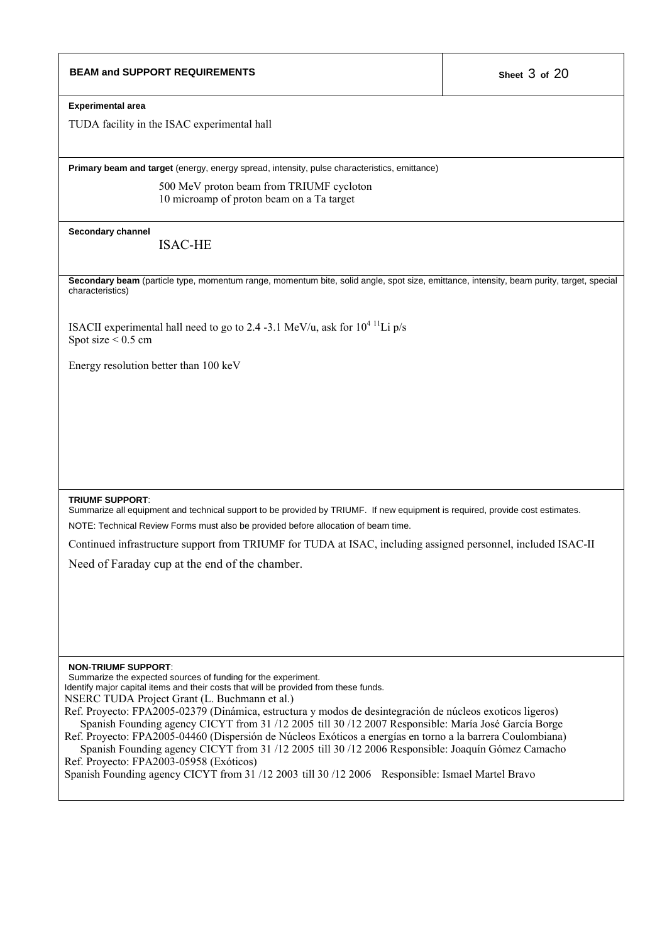| <b>BEAM and SUPPORT REQUIREMENTS</b> |                                                                                                                                                                                                                   | Sheet 3 of 20 |  |
|--------------------------------------|-------------------------------------------------------------------------------------------------------------------------------------------------------------------------------------------------------------------|---------------|--|
| <b>Experimental area</b>             |                                                                                                                                                                                                                   |               |  |
|                                      | TUDA facility in the ISAC experimental hall                                                                                                                                                                       |               |  |
|                                      | Primary beam and target (energy, energy spread, intensity, pulse characteristics, emittance)                                                                                                                      |               |  |
|                                      | 500 MeV proton beam from TRIUMF cycloton<br>10 microamp of proton beam on a Ta target                                                                                                                             |               |  |
| Secondary channel                    | <b>ISAC-HE</b>                                                                                                                                                                                                    |               |  |
| characteristics)                     | Secondary beam (particle type, momentum range, momentum bite, solid angle, spot size, emittance, intensity, beam purity, target, special                                                                          |               |  |
| Spot size $< 0.5$ cm                 | ISACII experimental hall need to go to 2.4 -3.1 MeV/u, ask for $10^{4}$ <sup>11</sup> Li p/s                                                                                                                      |               |  |
|                                      | Energy resolution better than 100 keV                                                                                                                                                                             |               |  |
|                                      |                                                                                                                                                                                                                   |               |  |
|                                      |                                                                                                                                                                                                                   |               |  |
|                                      |                                                                                                                                                                                                                   |               |  |
|                                      |                                                                                                                                                                                                                   |               |  |
|                                      |                                                                                                                                                                                                                   |               |  |
|                                      |                                                                                                                                                                                                                   |               |  |
|                                      |                                                                                                                                                                                                                   |               |  |
| <b>TRIUMF SUPPORT:</b>               |                                                                                                                                                                                                                   |               |  |
|                                      | Summarize all equipment and technical support to be provided by TRIUMF. If new equipment is required, provide cost estimates.                                                                                     |               |  |
|                                      | NOTE: Technical Review Forms must also be provided before allocation of beam time.                                                                                                                                |               |  |
|                                      | Continued infrastructure support from TRIUMF for TUDA at ISAC, including assigned personnel, included ISAC-II                                                                                                     |               |  |
|                                      | Need of Faraday cup at the end of the chamber.                                                                                                                                                                    |               |  |
|                                      |                                                                                                                                                                                                                   |               |  |
|                                      |                                                                                                                                                                                                                   |               |  |
|                                      |                                                                                                                                                                                                                   |               |  |
|                                      |                                                                                                                                                                                                                   |               |  |
|                                      |                                                                                                                                                                                                                   |               |  |
| <b>NON-TRIUMF SUPPORT:</b>           |                                                                                                                                                                                                                   |               |  |
|                                      | Summarize the expected sources of funding for the experiment.<br>Identify major capital items and their costs that will be provided from these funds.                                                             |               |  |
|                                      | NSERC TUDA Project Grant (L. Buchmann et al.)                                                                                                                                                                     |               |  |
|                                      | Ref. Proyecto: FPA2005-02379 (Dinámica, estructura y modos de desintegración de núcleos exoticos ligeros)<br>Spanish Founding agency CICYT from 31 /12 2005 till 30 /12 2007 Responsible: María José García Borge |               |  |
|                                      | Ref. Proyecto: FPA2005-04460 (Dispersión de Núcleos Exóticos a energías en torno a la barrera Coulombiana)                                                                                                        |               |  |
|                                      | Spanish Founding agency CICYT from 31 /12 2005 till 30 /12 2006 Responsible: Joaquín Gómez Camacho                                                                                                                |               |  |
|                                      | Ref. Proyecto: FPA2003-05958 (Exóticos)                                                                                                                                                                           |               |  |
|                                      | Spanish Founding agency CICYT from 31 /12 2003 till 30 /12 2006 Responsible: Ismael Martel Bravo                                                                                                                  |               |  |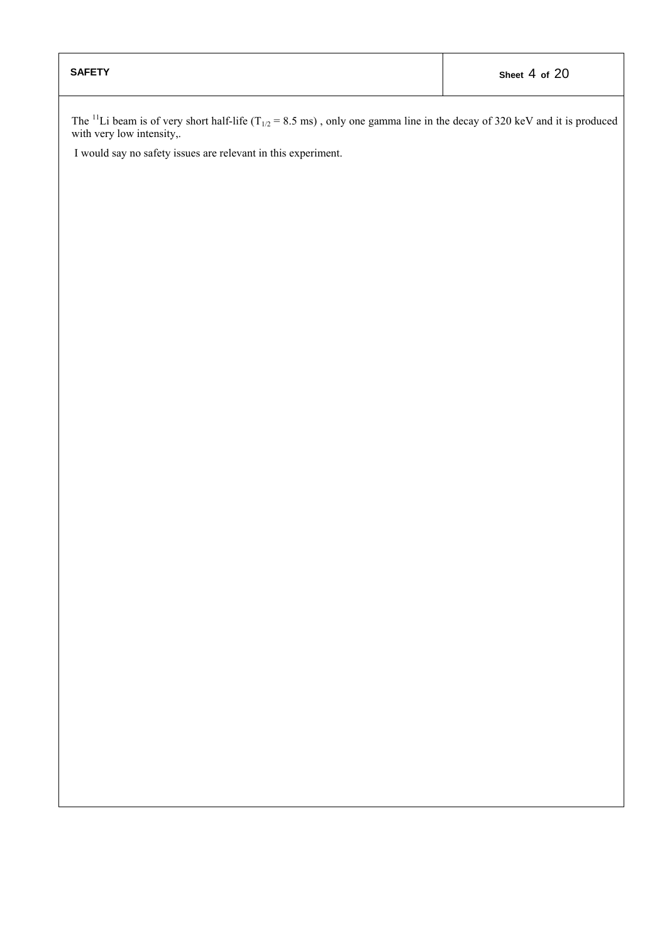| <b>SAFETY</b> | Sheet 4 of 20 |
|---------------|---------------|
|---------------|---------------|

The <sup>11</sup>Li beam is of very short half-life ( $T_{1/2}$  = 8.5 ms), only one gamma line in the decay of 320 keV and it is produced with very low intensity,.

I would say no safety issues are relevant in this experiment.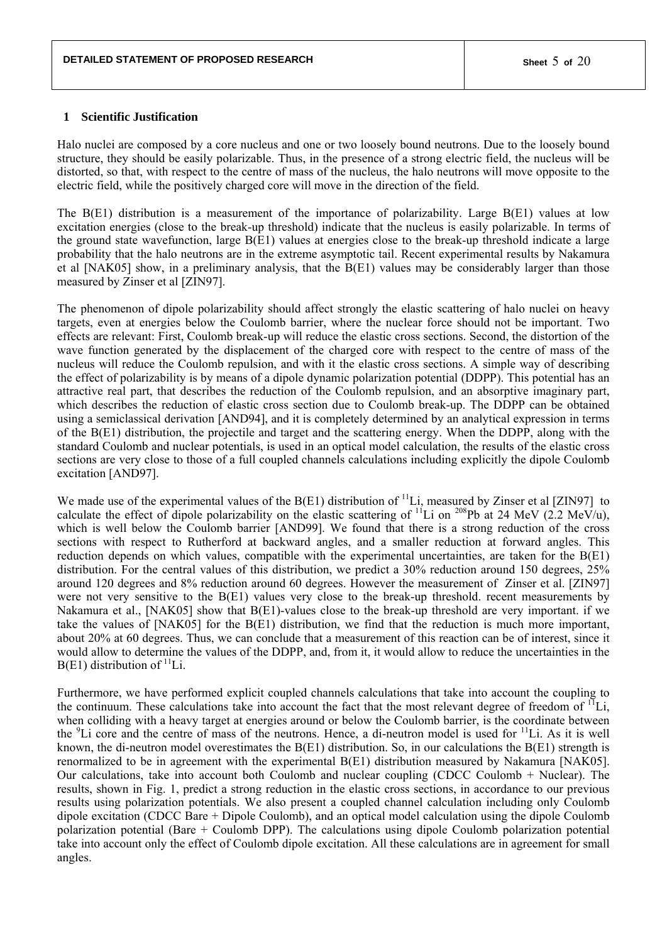## **1 Scientific Justification**

Halo nuclei are composed by a core nucleus and one or two loosely bound neutrons. Due to the loosely bound structure, they should be easily polarizable. Thus, in the presence of a strong electric field, the nucleus will be distorted, so that, with respect to the centre of mass of the nucleus, the halo neutrons will move opposite to the electric field, while the positively charged core will move in the direction of the field.

The B(E1) distribution is a measurement of the importance of polarizability. Large B(E1) values at low excitation energies (close to the break-up threshold) indicate that the nucleus is easily polarizable. In terms of the ground state wavefunction, large B(E1) values at energies close to the break-up threshold indicate a large probability that the halo neutrons are in the extreme asymptotic tail. Recent experimental results by Nakamura et al [NAK05] show, in a preliminary analysis, that the B(E1) values may be considerably larger than those measured by Zinser et al [ZIN97].

The phenomenon of dipole polarizability should affect strongly the elastic scattering of halo nuclei on heavy targets, even at energies below the Coulomb barrier, where the nuclear force should not be important. Two effects are relevant: First, Coulomb break-up will reduce the elastic cross sections. Second, the distortion of the wave function generated by the displacement of the charged core with respect to the centre of mass of the nucleus will reduce the Coulomb repulsion, and with it the elastic cross sections. A simple way of describing the effect of polarizability is by means of a dipole dynamic polarization potential (DDPP). This potential has an attractive real part, that describes the reduction of the Coulomb repulsion, and an absorptive imaginary part, which describes the reduction of elastic cross section due to Coulomb break-up. The DDPP can be obtained using a semiclassical derivation [AND94], and it is completely determined by an analytical expression in terms of the B(E1) distribution, the projectile and target and the scattering energy. When the DDPP, along with the standard Coulomb and nuclear potentials, is used in an optical model calculation, the results of the elastic cross sections are very close to those of a full coupled channels calculations including explicitly the dipole Coulomb excitation [AND97].

We made use of the experimental values of the  $B(E1)$  distribution of  $<sup>11</sup>Li$ , measured by Zinser et al [ZIN97] to</sup> calculate the effect of dipole polarizability on the elastic scattering of  $^{11}$ Li on  $^{208}$ Pb at 24 MeV (2.2 MeV/u), which is well below the Coulomb barrier [AND99]. We found that there is a strong reduction of the cross sections with respect to Rutherford at backward angles, and a smaller reduction at forward angles. This reduction depends on which values, compatible with the experimental uncertainties, are taken for the B(E1) distribution. For the central values of this distribution, we predict a 30% reduction around 150 degrees, 25% around 120 degrees and 8% reduction around 60 degrees. However the measurement of Zinser et al. [ZIN97] were not very sensitive to the B(E1) values very close to the break-up threshold. recent measurements by Nakamura et al., [NAK05] show that B(E1)-values close to the break-up threshold are very important. if we take the values of [NAK05] for the B(E1) distribution, we find that the reduction is much more important, about 20% at 60 degrees. Thus, we can conclude that a measurement of this reaction can be of interest, since it would allow to determine the values of the DDPP, and, from it, it would allow to reduce the uncertainties in the  $B(E1)$  distribution of  $^{11}Li$ .

Furthermore, we have performed explicit coupled channels calculations that take into account the coupling to the continuum. These calculations take into account the fact that the most relevant degree of freedom of  $\rm{^{11}Li}$ , when colliding with a heavy target at energies around or below the Coulomb barrier, is the coordinate between the <sup>9</sup>Li core and the centre of mass of the neutrons. Hence, a di-neutron model is used for <sup>11</sup>Li. As it is well known, the di-neutron model overestimates the B(E1) distribution. So, in our calculations the B(E1) strength is renormalized to be in agreement with the experimental B(E1) distribution measured by Nakamura [NAK05]. Our calculations, take into account both Coulomb and nuclear coupling (CDCC Coulomb + Nuclear). The results, shown in Fig. 1, predict a strong reduction in the elastic cross sections, in accordance to our previous results using polarization potentials. We also present a coupled channel calculation including only Coulomb dipole excitation (CDCC Bare + Dipole Coulomb), and an optical model calculation using the dipole Coulomb polarization potential (Bare + Coulomb DPP). The calculations using dipole Coulomb polarization potential take into account only the effect of Coulomb dipole excitation. All these calculations are in agreement for small angles.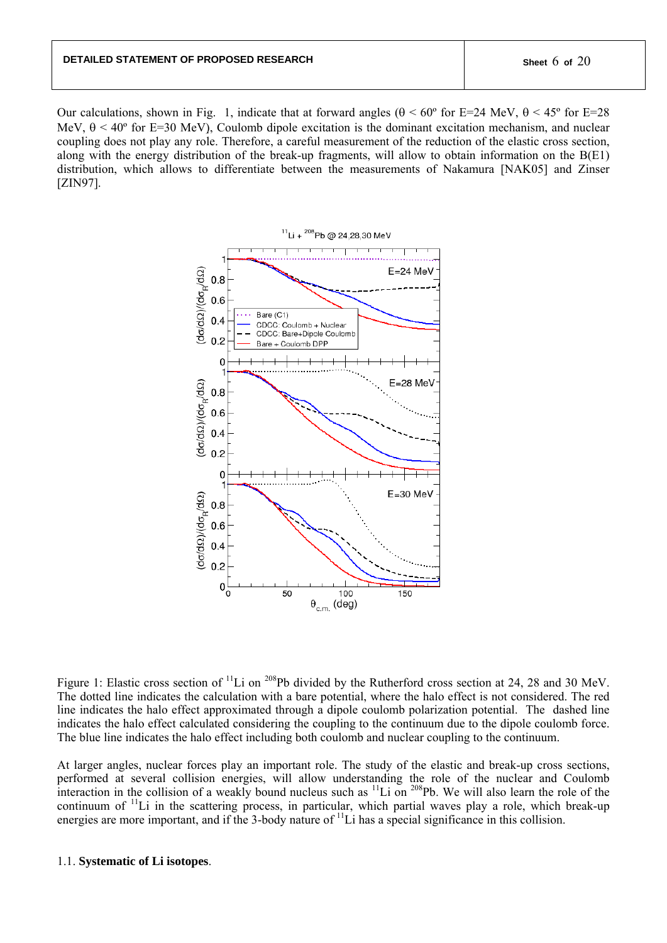Our calculations, shown in Fig. 1, indicate that at forward angles ( $θ < 60°$  for E=24 MeV,  $θ < 45°$  for E=28 MeV,  $\theta$  < 40° for E=30 MeV), Coulomb dipole excitation is the dominant excitation mechanism, and nuclear coupling does not play any role. Therefore, a careful measurement of the reduction of the elastic cross section, along with the energy distribution of the break-up fragments, will allow to obtain information on the B(E1) distribution, which allows to differentiate between the measurements of Nakamura [NAK05] and Zinser [ZIN97].



Figure 1: Elastic cross section of <sup>11</sup>Li on <sup>208</sup>Pb divided by the Rutherford cross section at 24, 28 and 30 MeV. The dotted line indicates the calculation with a bare potential, where the halo effect is not considered. The red line indicates the halo effect approximated through a dipole coulomb polarization potential. The dashed line indicates the halo effect calculated considering the coupling to the continuum due to the dipole coulomb force. The blue line indicates the halo effect including both coulomb and nuclear coupling to the continuum.

At larger angles, nuclear forces play an important role. The study of the elastic and break-up cross sections, performed at several collision energies, will allow understanding the role of the nuclear and Coulomb interaction in the collision of a weakly bound nucleus such as <sup>11</sup>Li on <sup>208</sup>Pb. We will also learn the role of the continuum of  $11$ Li in the scattering process, in particular, which partial waves play a role, which break-up energies are more important, and if the 3-body nature of <sup>11</sup>Li has a special significance in this collision.

### 1.1. **Systematic of Li isotopes**.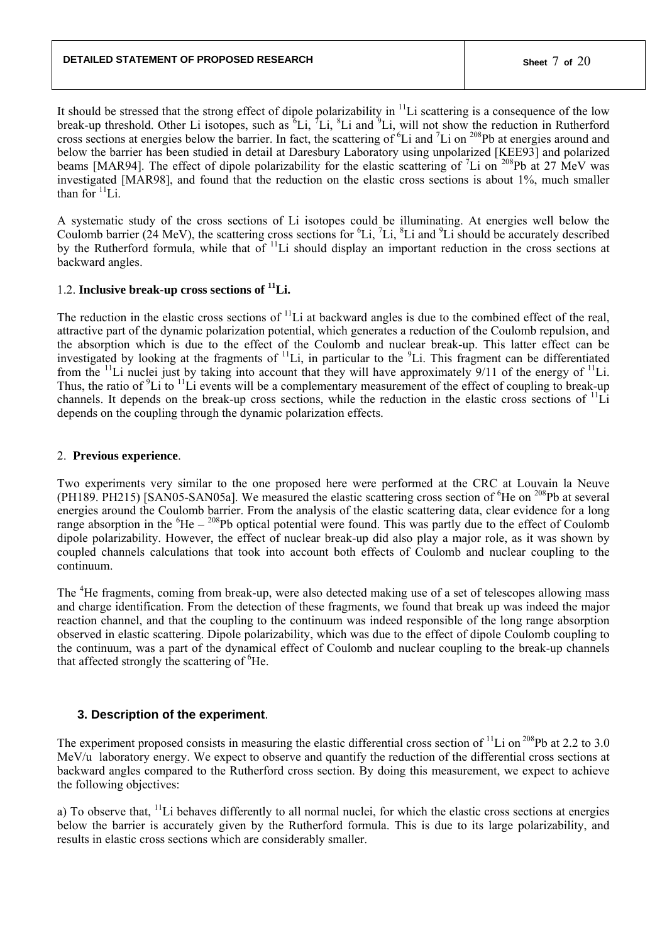It should be stressed that the strong effect of dipole polarizability in  $\frac{11}{11}$ Li scattering is a consequence of the low break-up threshold. Other Li isotopes, such as  ${}^6Li$ ,  ${}^7Li$ ,  ${}^8Li$  and  ${}^9Li$ , will not show the reduction in Rutherford cross sections at energies below the barrier. In fact, the scattering of  ${}^6Li$  and  ${}^7Li$  on  ${}^{208}Pb$  at energies around and below the barrier has been studied in detail at Daresbury Laboratory using unpolarized [KEE93] and polarized beams [MAR94]. The effect of dipole polarizability for the elastic scattering of <sup>7</sup>Li on <sup>208</sup>Pb at 27 MeV was investigated [MAR98], and found that the reduction on the elastic cross sections is about 1%, much smaller than for  $11$ Li

A systematic study of the cross sections of Li isotopes could be illuminating. At energies well below the Coulomb barrier (24 MeV), the scattering cross sections for  ${}^6Li$ ,  ${}^7Li$ ,  ${}^8Li$  and  ${}^9Li$  should be accurately described by the Rutherford formula, while that of <sup>11</sup>Li should display an important reduction in the cross sections at backward angles.

# 1.2. **Inclusive break-up cross sections of 11Li.**

The reduction in the elastic cross sections of <sup>11</sup>Li at backward angles is due to the combined effect of the real, attractive part of the dynamic polarization potential, which generates a reduction of the Coulomb repulsion, and the absorption which is due to the effect of the Coulomb and nuclear break-up. This latter effect can be investigated by looking at the fragments of  ${}^{11}Li$ , in particular to the  ${}^{9}Li$ . This fragment can be differentiated from the  $11$ -Li nuclei just by taking into account that they will have approximately  $9/11$  of the energy of  $11$ -Li. Thus, the ratio of <sup>9</sup>Li to <sup>11</sup>Li events will be a complementary measurement of the effect of coupling to break-up channels. It depends on the break-up cross sections, while the reduction in the elastic cross sections of  $\rm^{11}Li$ depends on the coupling through the dynamic polarization effects.

## 2. **Previous experience**.

Two experiments very similar to the one proposed here were performed at the CRC at Louvain la Neuve (PH189. PH215) [SAN05-SAN05a]. We measured the elastic scattering cross section of  ${}^{6}$ He on  ${}^{208}$ Pb at several energies around the Coulomb barrier. From the analysis of the elastic scattering data, clear evidence for a long range absorption in the  ${}^{6}$ He –  ${}^{208}$ Pb optical potential were found. This was partly due to the effect of Coulomb dipole polarizability. However, the effect of nuclear break-up did also play a major role, as it was shown by coupled channels calculations that took into account both effects of Coulomb and nuclear coupling to the continuum.

The <sup>4</sup>He fragments, coming from break-up, were also detected making use of a set of telescopes allowing mass and charge identification. From the detection of these fragments, we found that break up was indeed the major reaction channel, and that the coupling to the continuum was indeed responsible of the long range absorption observed in elastic scattering. Dipole polarizability, which was due to the effect of dipole Coulomb coupling to the continuum, was a part of the dynamical effect of Coulomb and nuclear coupling to the break-up channels that affected strongly the scattering of <sup>6</sup>He.

## **3. Description of the experiment**.

The experiment proposed consists in measuring the elastic differential cross section of  $^{11}$ Li on  $^{208}$ Pb at 2.2 to 3.0 MeV/u laboratory energy. We expect to observe and quantify the reduction of the differential cross sections at backward angles compared to the Rutherford cross section. By doing this measurement, we expect to achieve the following objectives:

a) To observe that, <sup>11</sup>Li behaves differently to all normal nuclei, for which the elastic cross sections at energies below the barrier is accurately given by the Rutherford formula. This is due to its large polarizability, and results in elastic cross sections which are considerably smaller.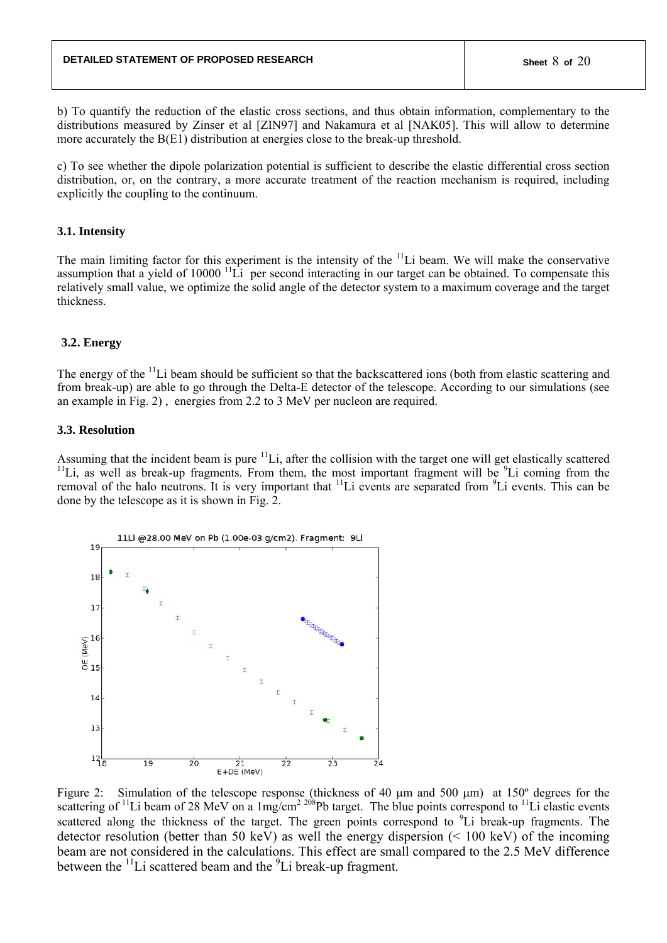b) To quantify the reduction of the elastic cross sections, and thus obtain information, complementary to the distributions measured by Zinser et al [ZIN97] and Nakamura et al [NAK05]. This will allow to determine more accurately the B(E1) distribution at energies close to the break-up threshold.

c) To see whether the dipole polarization potential is sufficient to describe the elastic differential cross section distribution, or, on the contrary, a more accurate treatment of the reaction mechanism is required, including explicitly the coupling to the continuum.

### **3.1. Intensity**

The main limiting factor for this experiment is the intensity of the  $<sup>11</sup>Li$  beam. We will make the conservative</sup> assumption that a yield of  $10000$   $\frac{11}{\text{Li}}$  per second interacting in our target can be obtained. To compensate this relatively small value, we optimize the solid angle of the detector system to a maximum coverage and the target thickness.

#### **3.2. Energy**

The energy of the <sup>11</sup>Li beam should be sufficient so that the backscattered ions (both from elastic scattering and from break-up) are able to go through the Delta-E detector of the telescope. According to our simulations (see an example in Fig. 2) , energies from 2.2 to 3 MeV per nucleon are required.

#### **3.3. Resolution**

Assuming that the incident beam is pure  $\frac{11}{11}$ , after the collision with the target one will get elastically scattered  $11$ Li, as well as break-up fragments. From them, the most important fragment will be  $9$ Li coming from the removal of the halo neutrons. It is very important that <sup>11</sup>Li events are separated from <sup>9</sup>Li events. This can be done by the telescope as it is shown in Fig. 2.



Figure 2: Simulation of the telescope response (thickness of 40 μm and 500 μm) at 150º degrees for the scattering of  $^{11}$ Li beam of 28 MeV on a  $1 \text{ mg/cm}^2$   $^{208}$ Pb target. The blue points correspond to  $^{11}$ Li elastic events scattered along the thickness of the target. The green points correspond to <sup>9</sup>Li break-up fragments. The detector resolution (better than 50 keV) as well the energy dispersion (< 100 keV) of the incoming beam are not considered in the calculations. This effect are small compared to the 2.5 MeV difference between the  $\rm{^{11}Li}$  scattered beam and the  $\rm{^{9}Li}$  break-up fragment.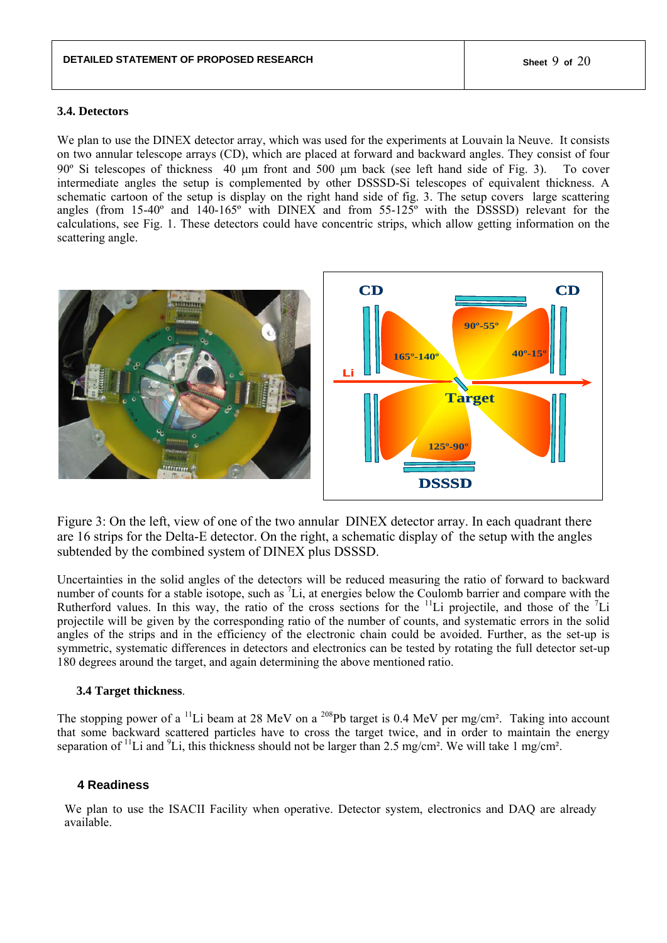## **3.4. Detectors**

We plan to use the DINEX detector array, which was used for the experiments at Louvain la Neuve. It consists on two annular telescope arrays (CD), which are placed at forward and backward angles. They consist of four 90º Si telescopes of thickness 40 μm front and 500 μm back (see left hand side of Fig. 3). To cover intermediate angles the setup is complemented by other DSSSD-Si telescopes of equivalent thickness. A schematic cartoon of the setup is display on the right hand side of fig. 3. The setup covers large scattering angles (from 15-40º and 140-165º with DINEX and from 55-125º with the DSSSD) relevant for the calculations, see Fig. 1. These detectors could have concentric strips, which allow getting information on the scattering angle.



Figure 3: On the left, view of one of the two annular DINEX detector array. In each quadrant there are 16 strips for the Delta-E detector. On the right, a schematic display of the setup with the angles subtended by the combined system of DINEX plus DSSSD.

Uncertainties in the solid angles of the detectors will be reduced measuring the ratio of forward to backward number of counts for a stable isotope, such as  ${}^{7}Li$ , at energies below the Coulomb barrier and compare with the Rutherford values. In this way, the ratio of the cross sections for the  $\rm ^{11}Li$  projectile, and those of the  $\rm ^{7}Li$ projectile will be given by the corresponding ratio of the number of counts, and systematic errors in the solid angles of the strips and in the efficiency of the electronic chain could be avoided. Further, as the set-up is symmetric, systematic differences in detectors and electronics can be tested by rotating the full detector set-up 180 degrees around the target, and again determining the above mentioned ratio.

## **3.4 Target thickness**.

The stopping power of a <sup>11</sup>Li beam at 28 MeV on a <sup>208</sup>Pb target is 0.4 MeV per mg/cm<sup>2</sup>. Taking into account that some backward scattered particles have to cross the target twice, and in order to maintain the energy separation of <sup>11</sup>Li and <sup>9</sup>Li, this thickness should not be larger than 2.5 mg/cm<sup>2</sup>. We will take 1 mg/cm<sup>2</sup>.

# **4 Readiness**

We plan to use the ISACII Facility when operative. Detector system, electronics and DAQ are already available.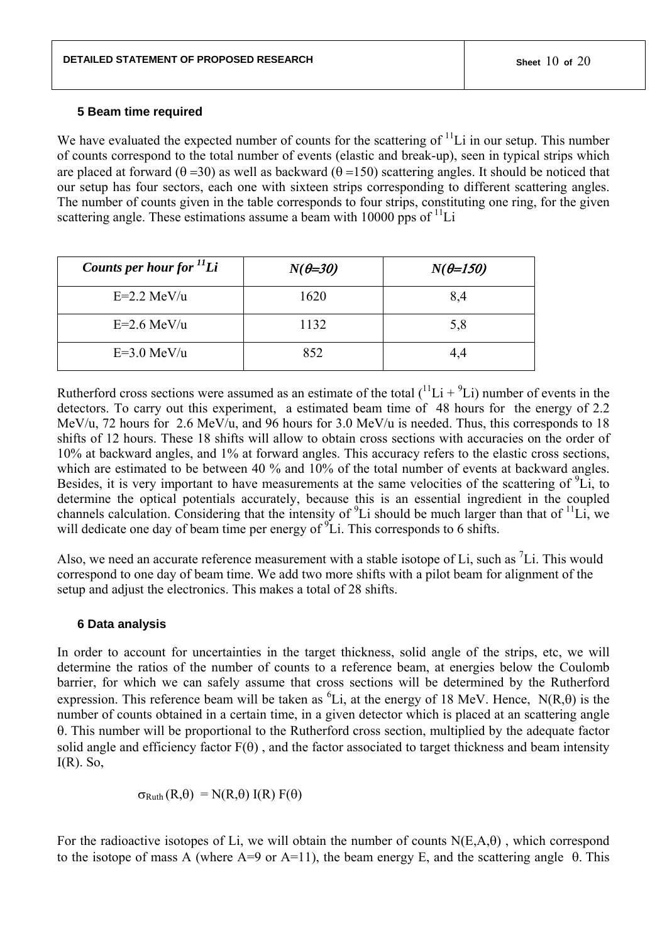# **5 Beam time required**

We have evaluated the expected number of counts for the scattering of  $<sup>11</sup>Li$  in our setup. This number</sup> of counts correspond to the total number of events (elastic and break-up), seen in typical strips which are placed at forward ( $\theta = 30$ ) as well as backward ( $\theta = 150$ ) scattering angles. It should be noticed that our setup has four sectors, each one with sixteen strips corresponding to different scattering angles. The number of counts given in the table corresponds to four strips, constituting one ring, for the given scattering angle. These estimations assume a beam with 10000 pps of  $\rm^{11}Li$ 

| Counts per hour for <sup>11</sup> Li | $N(\theta=30)$ | $N(\theta=150)$ |
|--------------------------------------|----------------|-----------------|
| $E=2.2$ MeV/u                        | 1620           | 8,4             |
| $E=2.6$ MeV/u                        | 1132           | 5,8             |
| $E=3.0$ MeV/u                        | 852            | 4.4             |

Rutherford cross sections were assumed as an estimate of the total  $({}^{11}Li + {}^{9}Li)$  number of events in the detectors. To carry out this experiment, a estimated beam time of 48 hours for the energy of 2.2 MeV/u, 72 hours for 2.6 MeV/u, and 96 hours for 3.0 MeV/u is needed. Thus, this corresponds to 18 shifts of 12 hours. These 18 shifts will allow to obtain cross sections with accuracies on the order of 10% at backward angles, and 1% at forward angles. This accuracy refers to the elastic cross sections, which are estimated to be between 40 % and 10% of the total number of events at backward angles. Besides, it is very important to have measurements at the same velocities of the scattering of  ${}^{9}$ Li, to determine the optical potentials accurately, because this is an essential ingredient in the coupled channels calculation. Considering that the intensity of  ${}^{9}Li$  should be much larger than that of  ${}^{11}Li$ , we will dedicate one day of beam time per energy of  ${}^{9}$ Li. This corresponds to 6 shifts.

Also, we need an accurate reference measurement with a stable isotope of Li, such as  ${}^{7}$ Li. This would correspond to one day of beam time. We add two more shifts with a pilot beam for alignment of the setup and adjust the electronics. This makes a total of 28 shifts.

# **6 Data analysis**

In order to account for uncertainties in the target thickness, solid angle of the strips, etc, we will determine the ratios of the number of counts to a reference beam, at energies below the Coulomb barrier, for which we can safely assume that cross sections will be determined by the Rutherford expression. This reference beam will be taken as <sup>6</sup>Li, at the energy of 18 MeV. Hence, N(R, $\theta$ ) is the number of counts obtained in a certain time, in a given detector which is placed at an scattering angle θ. This number will be proportional to the Rutherford cross section, multiplied by the adequate factor solid angle and efficiency factor  $F(\theta)$ , and the factor associated to target thickness and beam intensity  $I(R)$ . So,

 $\sigma_{\text{Ruth}}(R,\theta) = N(R,\theta) I(R) F(\theta)$ 

For the radioactive isotopes of Li, we will obtain the number of counts  $N(E,A,\theta)$ , which correspond to the isotope of mass A (where A=9 or A=11), the beam energy E, and the scattering angle  $\theta$ . This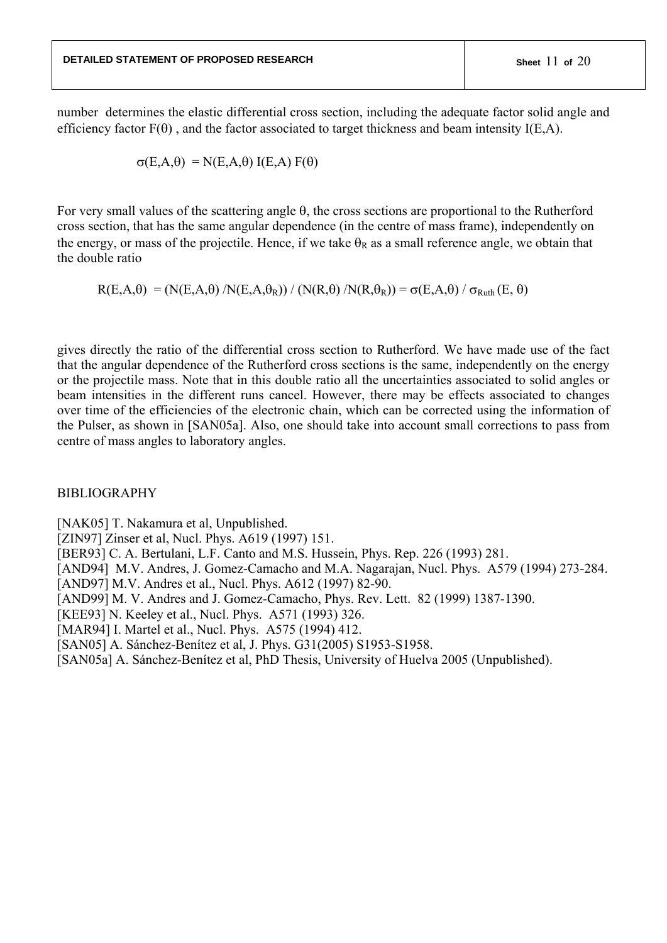number determines the elastic differential cross section, including the adequate factor solid angle and efficiency factor  $F(\theta)$ , and the factor associated to target thickness and beam intensity I(E,A).

$$
\sigma(E, A, \theta) = N(E, A, \theta) I(E, A) F(\theta)
$$

For very small values of the scattering angle θ, the cross sections are proportional to the Rutherford cross section, that has the same angular dependence (in the centre of mass frame), independently on the energy, or mass of the projectile. Hence, if we take  $\theta_R$  as a small reference angle, we obtain that the double ratio

 $R(E, A, \theta) = (N(E, A, \theta) / N(E, A, \theta_R)) / (N(R, \theta) / N(R, \theta_R)) = \sigma(E, A, \theta) / \sigma_{Ruth}(E, \theta)$ 

gives directly the ratio of the differential cross section to Rutherford. We have made use of the fact that the angular dependence of the Rutherford cross sections is the same, independently on the energy or the projectile mass. Note that in this double ratio all the uncertainties associated to solid angles or beam intensities in the different runs cancel. However, there may be effects associated to changes over time of the efficiencies of the electronic chain, which can be corrected using the information of the Pulser, as shown in [SAN05a]. Also, one should take into account small corrections to pass from centre of mass angles to laboratory angles.

# BIBLIOGRAPHY

[NAK05] T. Nakamura et al, Unpublished.

[ZIN97] Zinser et al, Nucl. Phys. A619 (1997) 151.

[BER93] C. A. Bertulani, L.F. Canto and M.S. Hussein, Phys. Rep. 226 (1993) 281.

[AND94] M.V. Andres, J. Gomez-Camacho and M.A. Nagarajan, Nucl. Phys. A579 (1994) 273-284.

[AND97] M.V. Andres et al., Nucl. Phys. A612 (1997) 82-90.

[AND99] M. V. Andres and J. Gomez-Camacho, Phys. Rev. Lett. 82 (1999) 1387-1390.

[KEE93] N. Keeley et al., Nucl. Phys. A571 (1993) 326.

[MAR94] I. Martel et al., Nucl. Phys. A575 (1994) 412.

[SAN05] A. Sánchez-Benítez et al, J. Phys. G31(2005) S1953-S1958.

[SAN05a] A. Sánchez-Benítez et al, PhD Thesis, University of Huelva 2005 (Unpublished).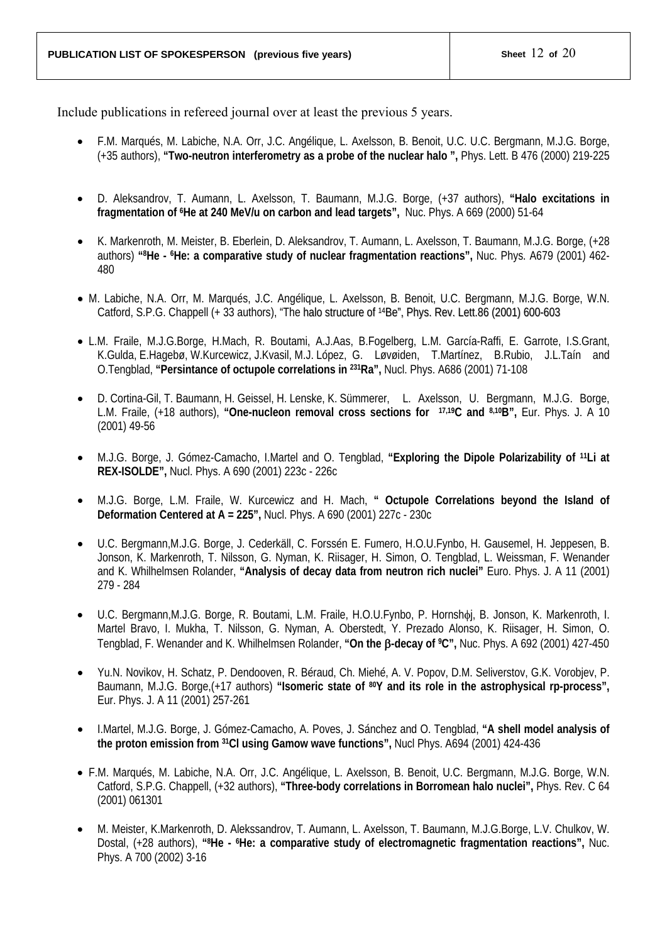Include publications in refereed journal over at least the previous 5 years.

- F.M. Marqués, M. Labiche, N.A. Orr, J.C. Angélique, L. Axelsson, B. Benoit, U.C. U.C. Bergmann, M.J.G. Borge, (+35 authors), **"Two-neutron interferometry as a probe of the nuclear halo ",** Phys. Lett. B 476 (2000) 219-225
- D. Aleksandrov, T. Aumann, L. Axelsson, T. Baumann, M.J.G. Borge, (+37 authors), **"Halo excitations in fragmentation of 6He at 240 MeV/u on carbon and lead targets",** Nuc. Phys. A 669 (2000) 51-64
- K. Markenroth, M. Meister, B. Eberlein, D. Aleksandrov, T. Aumann, L. Axelsson, T. Baumann, M.J.G. Borge, (+28 authors) **"8He - 6He: a comparative study of nuclear fragmentation reactions",** Nuc. Phys. A679 (2001) 462- 480
- M. Labiche, N.A. Orr, M. Marqués, J.C. Angélique, L. Axelsson, B. Benoit, U.C. Bergmann, M.J.G. Borge, W.N. Catford, S.P.G. Chappell (+ 33 authors), "The halo structure of 14Be", Phys. Rev. Lett.86 (2001) 600-603
- L.M. Fraile, M.J.G.Borge, H.Mach, R. Boutami, A.J.Aas, B.Fogelberg, L.M. García-Raffi, E. Garrote, I.S.Grant, K.Gulda, E.Hagebø, W.Kurcewicz, J.Kvasil, M.J. López, G. Løvøiden, T.Martínez, B.Rubio, J.L.Taín and O.Tengblad, **"Persintance of octupole correlations in 231Ra",** Nucl. Phys. A686 (2001) 71-108
- D. Cortina-Gil, T. Baumann, H. Geissel, H. Lenske, K. Sümmerer, L. Axelsson, U. Bergmann, M.J.G. Borge, L.M. Fraile, (+18 authors), **"One-nucleon removal cross sections for 17,19C and 8,10B",** Eur. Phys. J. A 10 (2001) 49-56
- M.J.G. Borge, J. Gómez-Camacho, I.Martel and O. Tengblad, **"Exploring the Dipole Polarizability of 11Li at REX-ISOLDE",** Nucl. Phys. A 690 (2001) 223c - 226c
- M.J.G. Borge, L.M. Fraile, W. Kurcewicz and H. Mach, **" Octupole Correlations beyond the Island of Deformation Centered at A = 225",** Nucl. Phys. A 690 (2001) 227c - 230c
- U.C. Bergmann,M.J.G. Borge, J. Cederkäll, C. Forssén E. Fumero, H.O.U.Fynbo, H. Gausemel, H. Jeppesen, B. Jonson, K. Markenroth, T. Nilsson, G. Nyman, K. Riisager, H. Simon, O. Tengblad, L. Weissman, F. Wenander and K. Whilhelmsen Rolander, **"Analysis of decay data from neutron rich nuclei"** Euro. Phys. J. A 11 (2001) 279 - 284
- U.C. Bergmann,M.J.G. Borge, R. Boutami, L.M. Fraile, H.O.U.Fynbo, P. Hornshφj, B. Jonson, K. Markenroth, I. Martel Bravo, I. Mukha, T. Nilsson, G. Nyman, A. Oberstedt, Y. Prezado Alonso, K. Riisager, H. Simon, O. Tengblad, F. Wenander and K. Whilhelmsen Rolander, **"On the** β**-decay of 9C",** Nuc. Phys. A 692 (2001) 427-450
- Yu.N. Novikov, H. Schatz, P. Dendooven, R. Béraud, Ch. Miehé, A. V. Popov, D.M. Seliverstov, G.K. Vorobjev, P. Baumann, M.J.G. Borge, (+17 authors) "Isomeric state of <sup>80</sup>Y and its role in the astrophysical rp-process", Eur. Phys. J. A 11 (2001) 257-261
- I.Martel, M.J.G. Borge, J. Gómez-Camacho, A. Poves, J. Sánchez and O. Tengblad, **"A shell model analysis of the proton emission from 31Cl using Gamow wave functions",** Nucl Phys. A694 (2001) 424-436
- F.M. Marqués, M. Labiche, N.A. Orr, J.C. Angélique, L. Axelsson, B. Benoit, U.C. Bergmann, M.J.G. Borge, W.N. Catford, S.P.G. Chappell, (+32 authors), **"Three-body correlations in Borromean halo nuclei",** Phys. Rev. C 64 (2001) 061301
- M. Meister, K.Markenroth, D. Alekssandrov, T. Aumann, L. Axelsson, T. Baumann, M.J.G.Borge, L.V. Chulkov, W. Dostal, (+28 authors), "<sup>8</sup>He - <sup>6</sup>He: a comparative study of electromagnetic fragmentation reactions", Nuc. Phys. A 700 (2002) 3-16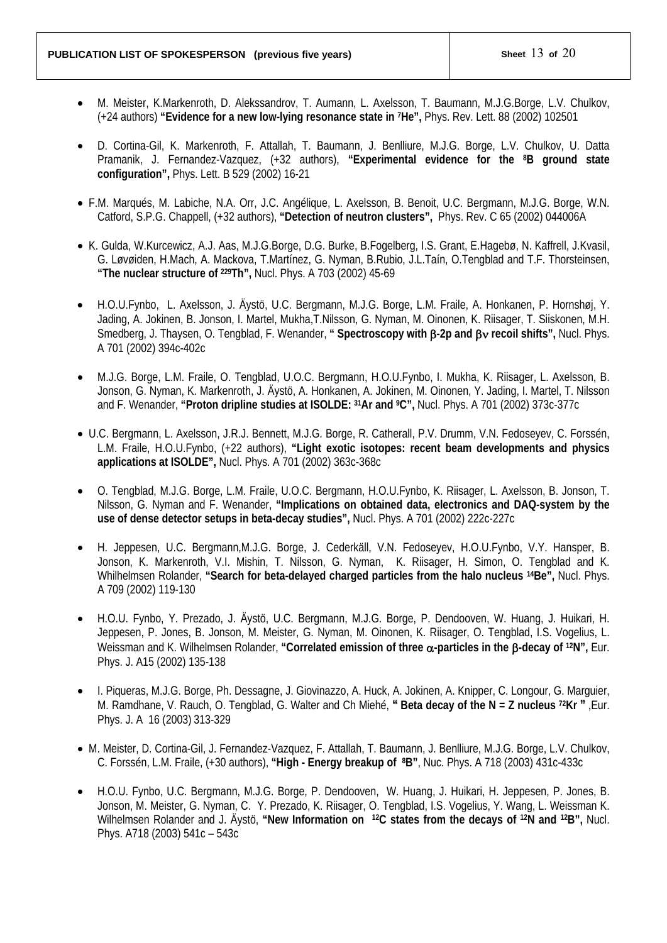- M. Meister, K.Markenroth, D. Alekssandrov, T. Aumann, L. Axelsson, T. Baumann, M.J.G.Borge, L.V. Chulkov, (+24 authors) **"Evidence for a new low-lying resonance state in 7He",** Phys. Rev. Lett. 88 (2002) 102501
- D. Cortina-Gil, K. Markenroth, F. Attallah, T. Baumann, J. Benlliure, M.J.G. Borge, L.V. Chulkov, U. Datta Pramanik, J. Fernandez-Vazquez, (+32 authors), **"Experimental evidence for the 8B ground state configuration",** Phys. Lett. B 529 (2002) 16-21
- F.M. Marqués, M. Labiche, N.A. Orr, J.C. Angélique, L. Axelsson, B. Benoit, U.C. Bergmann, M.J.G. Borge, W.N. Catford, S.P.G. Chappell, (+32 authors), **"Detection of neutron clusters",** Phys. Rev. C 65 (2002) 044006A
- K. Gulda, W.Kurcewicz, A.J. Aas, M.J.G.Borge, D.G. Burke, B.Fogelberg, I.S. Grant, E.Hagebø, N. Kaffrell, J.Kvasil, G. Løvøiden, H.Mach, A. Mackova, T.Martínez, G. Nyman, B.Rubio, J.L.Taín, O.Tengblad and T.F. Thorsteinsen, **"The nuclear structure of 229Th",** Nucl. Phys. A 703 (2002) 45-69
- H.O.U.Fynbo, L. Axelsson, J. Äystö, U.C. Bergmann, M.J.G. Borge, L.M. Fraile, A. Honkanen, P. Hornshøj, Y. Jading, A. Jokinen, B. Jonson, I. Martel, Mukha,T.Nilsson, G. Nyman, M. Oinonen, K. Riisager, T. Siiskonen, M.H. Smedberg, J. Thaysen, O. Tengblad, F. Wenander, **" Spectroscopy with** β**-2p and** βν **recoil shifts",** Nucl. Phys. A 701 (2002) 394c-402c
- M.J.G. Borge, L.M. Fraile, O. Tengblad, U.O.C. Bergmann, H.O.U.Fynbo, I. Mukha, K. Riisager, L. Axelsson, B. Jonson, G. Nyman, K. Markenroth, J. Äystö, A. Honkanen, A. Jokinen, M. Oinonen, Y. Jading, I. Martel, T. Nilsson and F. Wenander, **"Proton dripline studies at ISOLDE: 31Ar and 9C",** Nucl. Phys. A 701 (2002) 373c-377c
- U.C. Bergmann, L. Axelsson, J.R.J. Bennett, M.J.G. Borge, R. Catherall, P.V. Drumm, V.N. Fedoseyev, C. Forssén, L.M. Fraile, H.O.U.Fynbo, (+22 authors), **"Light exotic isotopes: recent beam developments and physics applications at ISOLDE",** Nucl. Phys. A 701 (2002) 363c-368c
- O. Tengblad, M.J.G. Borge, L.M. Fraile, U.O.C. Bergmann, H.O.U.Fynbo, K. Riisager, L. Axelsson, B. Jonson, T. Nilsson, G. Nyman and F. Wenander, **"Implications on obtained data, electronics and DAQ-system by the use of dense detector setups in beta-decay studies",** Nucl. Phys. A 701 (2002) 222c-227c
- H. Jeppesen, U.C. Bergmann,M.J.G. Borge, J. Cederkäll, V.N. Fedoseyev, H.O.U.Fynbo, V.Y. Hansper, B. Jonson, K. Markenroth, V.I. Mishin, T. Nilsson, G. Nyman, K. Riisager, H. Simon, O. Tengblad and K. Whilhelmsen Rolander, **"Search for beta-delayed charged particles from the halo nucleus 14Be",** Nucl. Phys. A 709 (2002) 119-130
- H.O.U. Fynbo, Y. Prezado, J. Äystö, U.C. Bergmann, M.J.G. Borge, P. Dendooven, W. Huang, J. Huikari, H. Jeppesen, P. Jones, B. Jonson, M. Meister, G. Nyman, M. Oinonen, K. Riisager, O. Tengblad, I.S. Vogelius, L. Weissman and K. Wilhelmsen Rolander, **"Correlated emission of three** α**-particles in the** β**-decay of 12N",** Eur. Phys. J. A15 (2002) 135-138
- I. Piqueras, M.J.G. Borge, Ph. Dessagne, J. Giovinazzo, A. Huck, A. Jokinen, A. Knipper, C. Longour, G. Marguier, M. Ramdhane, V. Rauch, O. Tengblad, G. Walter and Ch Miehé, **" Beta decay of the N = Z nucleus 72Kr "** ,Eur. Phys. J. A 16 (2003) 313-329
- M. Meister, D. Cortina-Gil, J. Fernandez-Vazquez, F. Attallah, T. Baumann, J. Benlliure, M.J.G. Borge, L.V. Chulkov, C. Forssén, L.M. Fraile, (+30 authors), **"High - Energy breakup of 8B"**, Nuc. Phys. A 718 (2003) 431c-433c
- H.O.U. Fynbo, U.C. Bergmann, M.J.G. Borge, P. Dendooven, W. Huang, J. Huikari, H. Jeppesen, P. Jones, B. Jonson, M. Meister, G. Nyman, C. Y. Prezado, K. Riisager, O. Tengblad, I.S. Vogelius, Y. Wang, L. Weissman K. Wilhelmsen Rolander and J. Äystö, **"New Information on 12C states from the decays of 12N and 12B",** Nucl. Phys. A718 (2003) 541c – 543c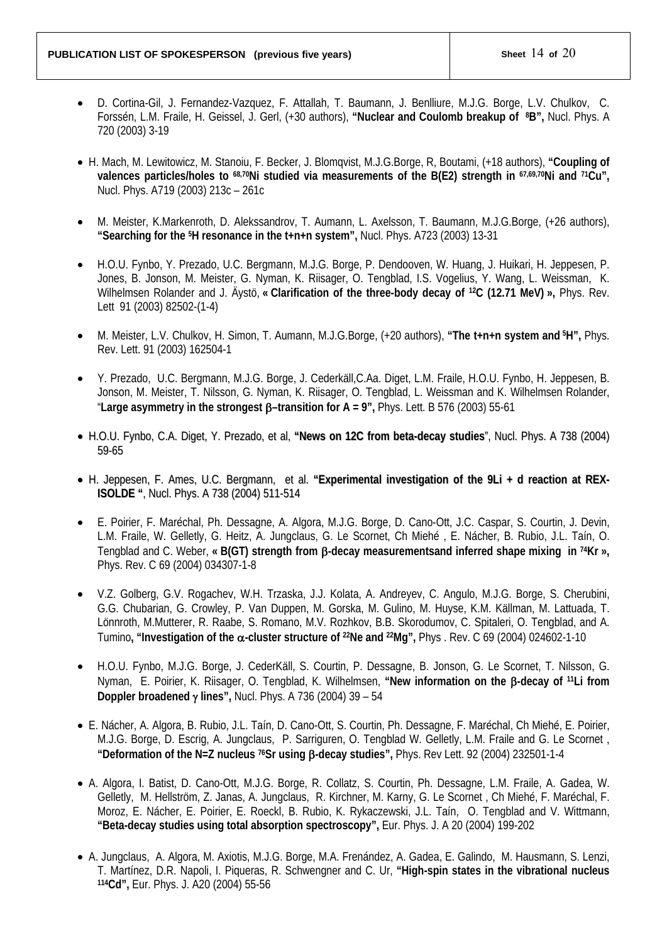- D. Cortina-Gil, J. Fernandez-Vazquez, F. Attallah, T. Baumann, J. Benlliure, M.J.G. Borge, L.V. Chulkov, C. Forssén, L.M. Fraile, H. Geissel, J. Gerl, (+30 authors), **"Nuclear and Coulomb breakup of 8B",** Nucl. Phys. A 720 (2003) 3-19
- H. Mach, M. Lewitowicz, M. Stanoiu, F. Becker, J. Blomqvist, M.J.G.Borge, R, Boutami, (+18 authors), **"Coupling of valences particles/holes to 68,70Ni studied via measurements of the B(E2) strength in 67,69,70Ni and 71Cu",** Nucl. Phys. A719 (2003) 213c – 261c
- M. Meister, K.Markenroth, D. Alekssandrov, T. Aumann, L. Axelsson, T. Baumann, M.J.G.Borge, (+26 authors), **"Searching for the 5H resonance in the t+n+n system",** Nucl. Phys. A723 (2003) 13-31
- H.O.U. Fynbo, Y. Prezado, U.C. Bergmann, M.J.G. Borge, P. Dendooven, W. Huang, J. Huikari, H. Jeppesen, P. Jones, B. Jonson, M. Meister, G. Nyman, K. Riisager, O. Tengblad, I.S. Vogelius, Y. Wang, L. Weissman, K. Wilhelmsen Rolander and J. Aystö, **« Clarification of the three-body decay of <sup>12</sup>C (12.71 MeV) »**, Phys. Rev. Lett 91 (2003) 82502-(1-4)
- M. Meister, L.V. Chulkov, H. Simon, T. Aumann, M.J.G.Borge, (+20 authors), **"The t+n+n system and 5H",** Phys. Rev. Lett. 91 (2003) 162504-1
- Y. Prezado, U.C. Bergmann, M.J.G. Borge, J. Cederkäll,C.Aa. Diget, L.M. Fraile, H.O.U. Fynbo, H. Jeppesen, B. Jonson, M. Meister, T. Nilsson, G. Nyman, K. Riisager, O. Tengblad, L. Weissman and K. Wilhelmsen Rolander, "**Large asymmetry in the strongest** β**–transition for A = 9",** Phys. Lett. B 576 (2003) 55-61
- H.O.U. Fynbo, C.A. Diget, Y. Prezado, et al, **"News on 12C from beta-decay studies**", Nucl. Phys. A 738 (2004) 59-65
- H. Jeppesen, F. Ames, U.C. Bergmann, et al. **"Experimental investigation of the 9Li + d reaction at REX-ISOLDE "**, Nucl. Phys. A 738 (2004) 511-514
- E. Poirier, F. Maréchal, Ph. Dessagne, A. Algora, M.J.G. Borge, D. Cano-Ott, J.C. Caspar, S. Courtin, J. Devin, L.M. Fraile, W. Gelletly, G. Heitz, A. Jungclaus, G. Le Scornet, Ch Miehé , E. Nácher, B. Rubio, J.L. Taín, O. Tengblad and C. Weber, **« B(GT) strength from** β**-decay measurementsand inferred shape mixing in 74Kr »,** Phys. Rev. C 69 (2004) 034307-1-8
- V.Z. Golberg, G.V. Rogachev, W.H. Trzaska, J.J. Kolata, A. Andreyev, C. Angulo, M.J.G. Borge, S. Cherubini, G.G. Chubarian, G. Crowley, P. Van Duppen, M. Gorska, M. Gulino, M. Huyse, K.M. Källman, M. Lattuada, T. Lönnroth, M.Mutterer, R. Raabe, S. Romano, M.V. Rozhkov, B.B. Skorodumov, C. Spitaleri, O. Tengblad, and A. Tumino**, "Investigation of the** α**-cluster structure of 22Ne and 22Mg",** Phys . Rev. C 69 (2004) 024602-1-10
- H.O.U. Fynbo, M.J.G. Borge, J. CederKäll, S. Courtin, P. Dessagne, B. Jonson, G. Le Scornet, T. Nilsson, G. Nyman, E. Poirier, K. Riisager, O. Tengblad, K. Wilhelmsen, **"New information on the** β**-decay of 11Li from Doppler broadened** γ **lines",** Nucl. Phys. A 736 (2004) 39 – 54
- E. Nácher, A. Algora, B. Rubio, J.L. Taín, D. Cano-Ott, S. Courtin, Ph. Dessagne, F. Maréchal, Ch Miehé, E. Poirier, M.J.G. Borge, D. Escrig, A. Jungclaus, P. Sarriguren, O. Tengblad W. Gelletly, L.M. Fraile and G. Le Scornet , **"Deformation of the N=Z nucleus 76Sr using** β**-decay studies",** Phys. Rev Lett. 92 (2004) 232501-1-4
- A. Algora, I. Batist, D. Cano-Ott, M.J.G. Borge, R. Collatz, S. Courtin, Ph. Dessagne, L.M. Fraile, A. Gadea, W. Gelletly, M. Hellström, Z. Janas, A. Jungclaus, R. Kirchner, M. Karny, G. Le Scornet , Ch Miehé, F. Maréchal, F. Moroz, E. Nácher, E. Poirier, E. Roeckl, B. Rubio, K. Rykaczewski, J.L. Taín, O. Tengblad and V. Wittmann, **"Beta-decay studies using total absorption spectroscopy",** Eur. Phys. J. A 20 (2004) 199-202
- A. Jungclaus, A. Algora, M. Axiotis, M.J.G. Borge, M.A. Frenández, A. Gadea, E. Galindo, M. Hausmann, S. Lenzi, T. Martínez, D.R. Napoli, I. Piqueras, R. Schwengner and C. Ur, **"High-spin states in the vibrational nucleus 114Cd",** Eur. Phys. J. A20 (2004) 55-56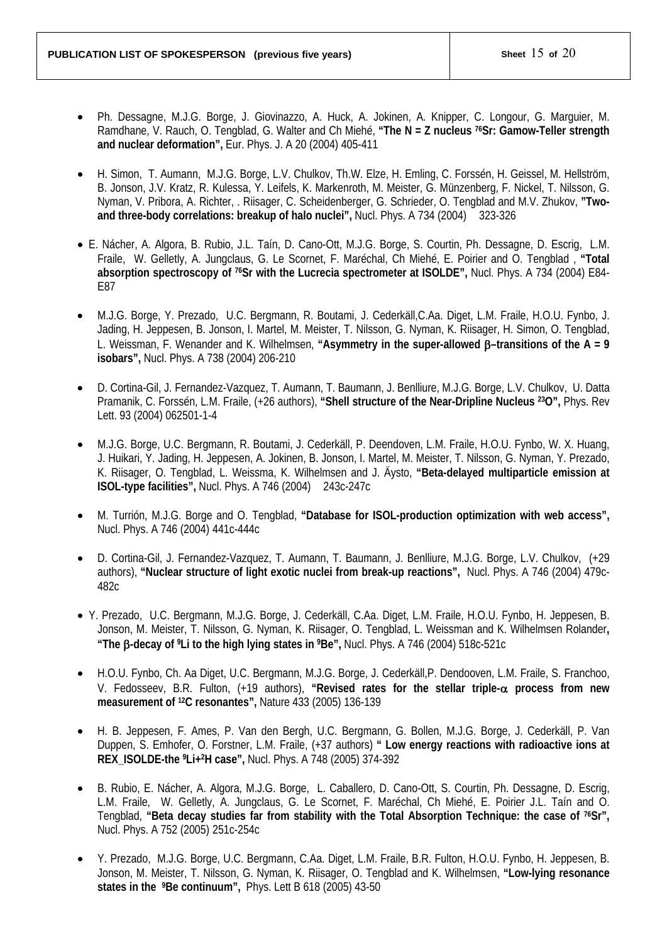- Ph. Dessagne, M.J.G. Borge, J. Giovinazzo, A. Huck, A. Jokinen, A. Knipper, C. Longour, G. Marguier, M. Ramdhane, V. Rauch, O. Tengblad, G. Walter and Ch Miehé, **"The N = Z nucleus 76Sr: Gamow-Teller strength and nuclear deformation",** Eur. Phys. J. A 20 (2004) 405-411
- H. Simon, T. Aumann, M.J.G. Borge, L.V. Chulkov, Th.W. Elze, H. Emling, C. Forssén, H. Geissel, M. Hellström, B. Jonson, J.V. Kratz, R. Kulessa, Y. Leifels, K. Markenroth, M. Meister, G. Münzenberg, F. Nickel, T. Nilsson, G. Nyman, V. Pribora, A. Richter, . Riisager, C. Scheidenberger, G. Schrieder, O. Tengblad and M.V. Zhukov, **"Two**and three-body correlations: breakup of halo nuclei", Nucl. Phys. A 734 (2004) 323-326
- E. Nácher, A. Algora, B. Rubio, J.L. Taín, D. Cano-Ott, M.J.G. Borge, S. Courtin, Ph. Dessagne, D. Escrig, L.M. Fraile, W. Gelletly, A. Jungclaus, G. Le Scornet, F. Maréchal, Ch Miehé, E. Poirier and O. Tengblad , **"Total absorption spectroscopy of 76Sr with the Lucrecia spectrometer at ISOLDE",** Nucl. Phys. A 734 (2004) E84- E87
- M.J.G. Borge, Y. Prezado, U.C. Bergmann, R. Boutami, J. Cederkäll,C.Aa. Diget, L.M. Fraile, H.O.U. Fynbo, J. Jading, H. Jeppesen, B. Jonson, I. Martel, M. Meister, T. Nilsson, G. Nyman, K. Riisager, H. Simon, O. Tengblad, L. Weissman, F. Wenander and K. Wilhelmsen, **"Asymmetry in the super-allowed** β**–transitions of the A = 9 isobars",** Nucl. Phys. A 738 (2004) 206-210
- D. Cortina-Gil, J. Fernandez-Vazquez, T. Aumann, T. Baumann, J. Benlliure, M.J.G. Borge, L.V. Chulkov, U. Datta Pramanik, C. Forssén, L.M. Fraile, (+26 authors), **"Shell structure of the Near-Dripline Nucleus 23O",** Phys. Rev Lett. 93 (2004) 062501-1-4
- M.J.G. Borge, U.C. Bergmann, R. Boutami, J. Cederkäll, P. Deendoven, L.M. Fraile, H.O.U. Fynbo, W. X. Huang, J. Huikari, Y. Jading, H. Jeppesen, A. Jokinen, B. Jonson, I. Martel, M. Meister, T. Nilsson, G. Nyman, Y. Prezado, K. Riisager, O. Tengblad, L. Weissma, K. Wilhelmsen and J. Äysto, **"Beta-delayed multiparticle emission at ISOL-type facilities",** Nucl. Phys. A 746 (2004) 243c-247c
- M. Turrión, M.J.G. Borge and O. Tengblad, **"Database for ISOL-production optimization with web access",**  Nucl. Phys. A 746 (2004) 441c-444c
- D. Cortina-Gil, J. Fernandez-Vazquez, T. Aumann, T. Baumann, J. Benlliure, M.J.G. Borge, L.V. Chulkov, (+29 authors), **"Nuclear structure of light exotic nuclei from break-up reactions",** Nucl. Phys. A 746 (2004) 479c-482c
- Y. Prezado, U.C. Bergmann, M.J.G. Borge, J. Cederkäll, C.Aa. Diget, L.M. Fraile, H.O.U. Fynbo, H. Jeppesen, B. Jonson, M. Meister, T. Nilsson, G. Nyman, K. Riisager, O. Tengblad, L. Weissman and K. Wilhelmsen Rolander**, "The** β**-decay of 9Li to the high lying states in 9Be",** Nucl. Phys. A 746 (2004) 518c-521c
- H.O.U. Fynbo, Ch. Aa Diget, U.C. Bergmann, M.J.G. Borge, J. Cederkäll,P. Dendooven, L.M. Fraile, S. Franchoo, V. Fedosseev, B.R. Fulton, (+19 authors), **"Revised rates for the stellar triple-**α **process from new measurement of 12C resonantes",** Nature 433 (2005) 136-139
- H. B. Jeppesen, F. Ames, P. Van den Bergh, U.C. Bergmann, G. Bollen, M.J.G. Borge, J. Cederkäll, P. Van Duppen, S. Emhofer, O. Forstner, L.M. Fraile, (+37 authors) **" Low energy reactions with radioactive ions at REX\_ISOLDE-the 9Li+2H case",** Nucl. Phys. A 748 (2005) 374-392
- B. Rubio, E. Nácher, A. Algora, M.J.G. Borge, L. Caballero, D. Cano-Ott, S. Courtin, Ph. Dessagne, D. Escrig, L.M. Fraile, W. Gelletly, A. Jungclaus, G. Le Scornet, F. Maréchal, Ch Miehé, E. Poirier J.L. Taín and O. Tengblad, **"Beta decay studies far from stability with the Total Absorption Technique: the case of 76Sr",** Nucl. Phys. A 752 (2005) 251c-254c
- Y. Prezado, M.J.G. Borge, U.C. Bergmann, C.Aa. Diget, L.M. Fraile, B.R. Fulton, H.O.U. Fynbo, H. Jeppesen, B. Jonson, M. Meister, T. Nilsson, G. Nyman, K. Riisager, O. Tengblad and K. Wilhelmsen, **"Low-lying resonance states in the 9Be continuum",** Phys. Lett B 618 (2005) 43-50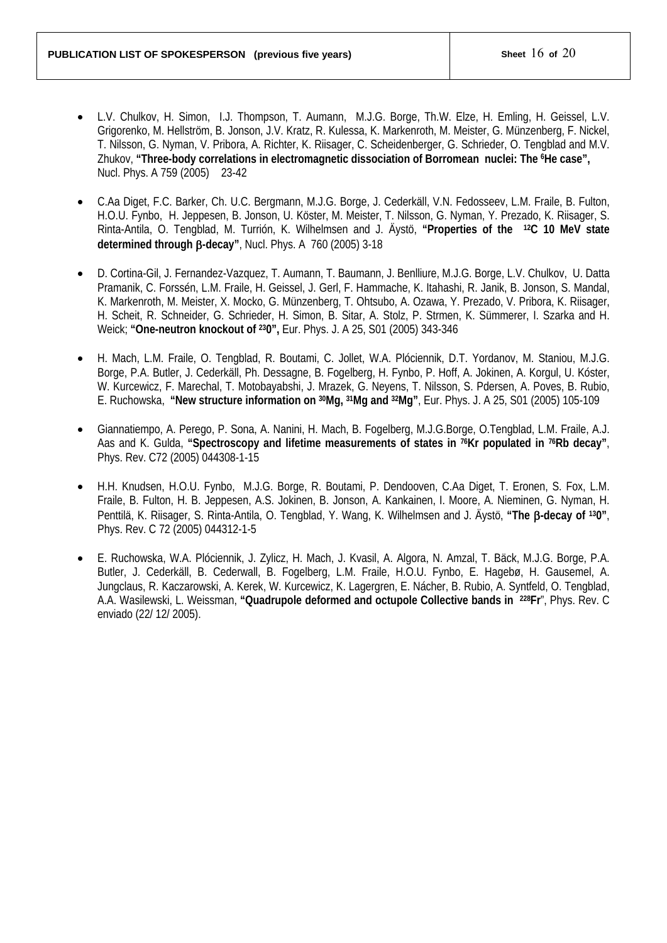- L.V. Chulkov, H. Simon, I.J. Thompson, T. Aumann, M.J.G. Borge, Th.W. Elze, H. Emling, H. Geissel, L.V. Grigorenko, M. Hellström, B. Jonson, J.V. Kratz, R. Kulessa, K. Markenroth, M. Meister, G. Münzenberg, F. Nickel, T. Nilsson, G. Nyman, V. Pribora, A. Richter, K. Riisager, C. Scheidenberger, G. Schrieder, O. Tengblad and M.V. Zhukov, **"Three-body correlations in electromagnetic dissociation of Borromean nuclei: The 6He case",**  Nucl. Phys. A 759 (2005) 23-42
- C.Aa Diget, F.C. Barker, Ch. U.C. Bergmann, M.J.G. Borge, J. Cederkäll, V.N. Fedosseev, L.M. Fraile, B. Fulton, H.O.U. Fynbo, H. Jeppesen, B. Jonson, U. Köster, M. Meister, T. Nilsson, G. Nyman, Y. Prezado, K. Riisager, S. Rinta-Antila, O. Tengblad, M. Turrión, K. Wilhelmsen and J. Äystö, **"Properties of the 12C 10 MeV state determined through** β**-decay"**, Nucl. Phys. A 760 (2005) 3-18
- D. Cortina-Gil, J. Fernandez-Vazquez, T. Aumann, T. Baumann, J. Benlliure, M.J.G. Borge, L.V. Chulkov, U. Datta Pramanik, C. Forssén, L.M. Fraile, H. Geissel, J. Gerl, F. Hammache, K. Itahashi, R. Janik, B. Jonson, S. Mandal, K. Markenroth, M. Meister, X. Mocko, G. Münzenberg, T. Ohtsubo, A. Ozawa, Y. Prezado, V. Pribora, K. Riisager, H. Scheit, R. Schneider, G. Schrieder, H. Simon, B. Sitar, A. Stolz, P. Strmen, K. Sümmerer, I. Szarka and H. Weick; **"One-neutron knockout of 230",** Eur. Phys. J. A 25, S01 (2005) 343-346
- H. Mach, L.M. Fraile, O. Tengblad, R. Boutami, C. Jollet, W.A. Plóciennik, D.T. Yordanov, M. Staniou, M.J.G. Borge, P.A. Butler, J. Cederkäll, Ph. Dessagne, B. Fogelberg, H. Fynbo, P. Hoff, A. Jokinen, A. Korgul, U. Kóster, W. Kurcewicz, F. Marechal, T. Motobayabshi, J. Mrazek, G. Neyens, T. Nilsson, S. Pdersen, A. Poves, B. Rubio, E. Ruchowska, **"New structure information on 30Mg, 31Mg and 32Mg"**, Eur. Phys. J. A 25, S01 (2005) 105-109
- Giannatiempo, A. Perego, P. Sona, A. Nanini, H. Mach, B. Fogelberg, M.J.G.Borge, O.Tengblad, L.M. Fraile, A.J. Aas and K. Gulda, "Spectroscopy and lifetime measurements of states in <sup>76</sup>Kr populated in <sup>76</sup>Rb decay", Phys. Rev. C72 (2005) 044308-1-15
- H.H. Knudsen, H.O.U. Fynbo, M.J.G. Borge, R. Boutami, P. Dendooven, C.Aa Diget, T. Eronen, S. Fox, L.M. Fraile, B. Fulton, H. B. Jeppesen, A.S. Jokinen, B. Jonson, A. Kankainen, I. Moore, A. Nieminen, G. Nyman, H. Penttilä, K. Riisager, S. Rinta-Antila, O. Tengblad, Y. Wang, K. Wilhelmsen and J. Äystö, **"The** β**-decay of 130"**, Phys. Rev. C 72 (2005) 044312-1-5
- E. Ruchowska, W.A. Plóciennik, J. Zylicz, H. Mach, J. Kvasil, A. Algora, N. Amzal, T. Bäck, M.J.G. Borge, P.A. Butler, J. Cederkäll, B. Cederwall, B. Fogelberg, L.M. Fraile, H.O.U. Fynbo, E. Hagebø, H. Gausemel, A. Jungclaus, R. Kaczarowski, A. Kerek, W. Kurcewicz, K. Lagergren, E. Nácher, B. Rubio, A. Syntfeld, O. Tengblad, A.A. Wasilewski, L. Weissman, **"Quadrupole deformed and octupole Collective bands in 228Fr**", Phys. Rev. C enviado (22/ 12/ 2005).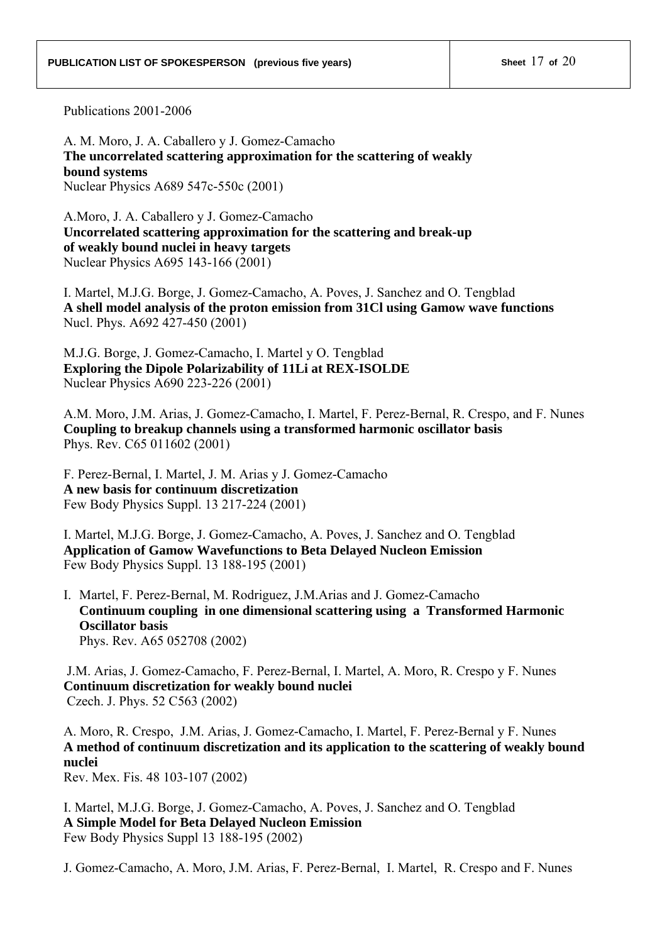Publications 2001-2006

A. M. Moro, J. A. Caballero y J. Gomez-Camacho **The uncorrelated scattering approximation for the scattering of weakly bound systems**  Nuclear Physics A689 547c-550c (2001)

A.Moro, J. A. Caballero y J. Gomez-Camacho **Uncorrelated scattering approximation for the scattering and break-up of weakly bound nuclei in heavy targets** Nuclear Physics A695 143-166 (2001)

I. Martel, M.J.G. Borge, J. Gomez-Camacho, A. Poves, J. Sanchez and O. Tengblad **A shell model analysis of the proton emission from 31Cl using Gamow wave functions**  Nucl. Phys. A692 427-450 (2001)

M.J.G. Borge, J. Gomez-Camacho, I. Martel y O. Tengblad **Exploring the Dipole Polarizability of 11Li at REX-ISOLDE**  Nuclear Physics A690 223-226 (2001)

A.M. Moro, J.M. Arias, J. Gomez-Camacho, I. Martel, F. Perez-Bernal, R. Crespo, and F. Nunes **Coupling to breakup channels using a transformed harmonic oscillator basis**  Phys. Rev. C65 011602 (2001)

F. Perez-Bernal, I. Martel, J. M. Arias y J. Gomez-Camacho **A new basis for continuum discretization**  Few Body Physics Suppl. 13 217-224 (2001)

I. Martel, M.J.G. Borge, J. Gomez-Camacho, A. Poves, J. Sanchez and O. Tengblad **Application of Gamow Wavefunctions to Beta Delayed Nucleon Emission**  Few Body Physics Suppl. 13 188-195 (2001)

I. Martel, F. Perez-Bernal, M. Rodriguez, J.M.Arias and J. Gomez-Camacho **Continuum coupling in one dimensional scattering using a Transformed Harmonic Oscillator basis** Phys. Rev. A65 052708 (2002)

 J.M. Arias, J. Gomez-Camacho, F. Perez-Bernal, I. Martel, A. Moro, R. Crespo y F. Nunes **Continuum discretization for weakly bound nuclei**  Czech. J. Phys. 52 C563 (2002)

A. Moro, R. Crespo, J.M. Arias, J. Gomez-Camacho, I. Martel, F. Perez-Bernal y F. Nunes **A method of continuum discretization and its application to the scattering of weakly bound nuclei** 

Rev. Mex. Fis. 48 103-107 (2002)

I. Martel, M.J.G. Borge, J. Gomez-Camacho, A. Poves, J. Sanchez and O. Tengblad **A Simple Model for Beta Delayed Nucleon Emission**  Few Body Physics Suppl 13 188-195 (2002)

J. Gomez-Camacho, A. Moro, J.M. Arias, F. Perez-Bernal, I. Martel, R. Crespo and F. Nunes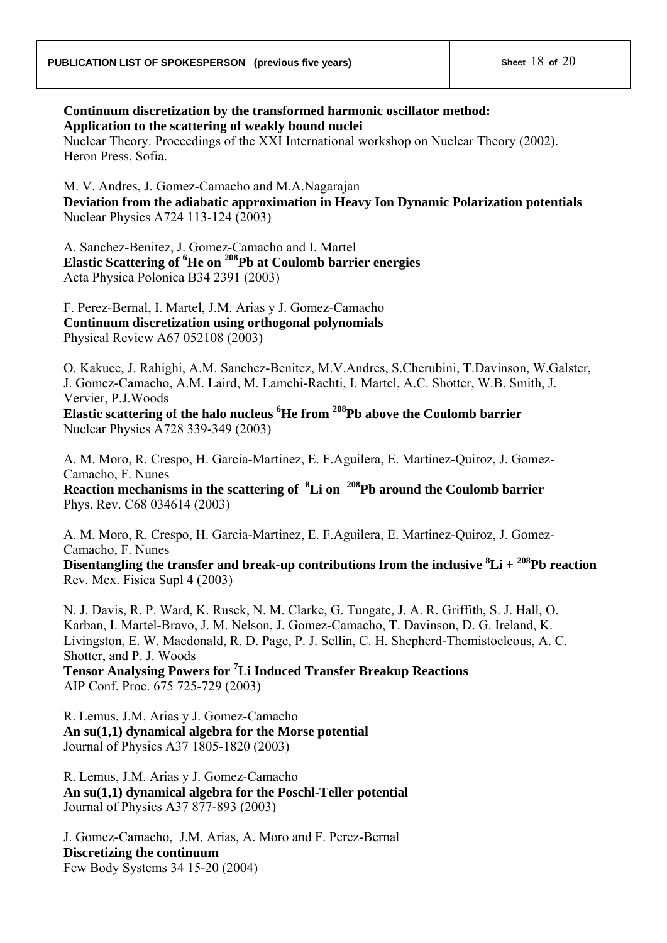**Continuum discretization by the transformed harmonic oscillator method: Application to the scattering of weakly bound nuclei**  Nuclear Theory. Proceedings of the XXI International workshop on Nuclear Theory (2002). Heron Press, Sofia.

M. V. Andres, J. Gomez-Camacho and M.A.Nagarajan **Deviation from the adiabatic approximation in Heavy Ion Dynamic Polarization potentials**  Nuclear Physics A724 113-124 (2003)

A. Sanchez-Benitez, J. Gomez-Camacho and I. Martel **Elastic Scattering of 6 He on 208Pb at Coulomb barrier energies**  Acta Physica Polonica B34 2391 (2003)

F. Perez-Bernal, I. Martel, J.M. Arias y J. Gomez-Camacho **Continuum discretization using orthogonal polynomials**  Physical Review A67 052108 (2003)

O. Kakuee, J. Rahighi, A.M. Sanchez-Benitez, M.V.Andres, S.Cherubini, T.Davinson, W.Galster, J. Gomez-Camacho, A.M. Laird, M. Lamehi-Rachti, I. Martel, A.C. Shotter, W.B. Smith, J. Vervier, P.J.Woods

**Elastic scattering of the halo nucleus 6 He from 208Pb above the Coulomb barrier**  Nuclear Physics A728 339-349 (2003)

A. M. Moro, R. Crespo, H. Garcia-Martinez, E. F.Aguilera, E. Martinez-Quiroz, J. Gomez-Camacho, F. Nunes

**Reaction mechanisms in the scattering of <sup>8</sup> Li on 208Pb around the Coulomb barrier**  Phys. Rev. C68 034614 (2003)

A. M. Moro, R. Crespo, H. Garcia-Martinez, E. F.Aguilera, E. Martinez-Quiroz, J. Gomez-Camacho, F. Nunes

**Disentangling the transfer and break-up contributions from the inclusive <sup>8</sup> Li + 208Pb reaction**  Rev. Mex. Fisica Supl 4 (2003)

N. J. Davis, R. P. Ward, K. Rusek, N. M. Clarke, G. Tungate, J. A. R. Griffith, S. J. Hall, O. Karban, I. Martel-Bravo, J. M. Nelson, J. Gomez-Camacho, T. Davinson, D. G. Ireland, K. Livingston, E. W. Macdonald, R. D. Page, P. J. Sellin, C. H. Shepherd-Themistocleous, A. C. Shotter, and P. J. Woods

**Tensor Analysing Powers for 7 Li Induced Transfer Breakup Reactions**  AIP Conf. Proc. 675 725-729 (2003)

R. Lemus, J.M. Arias y J. Gomez-Camacho **An su(1,1) dynamical algebra for the Morse potential**  Journal of Physics A37 1805-1820 (2003)

R. Lemus, J.M. Arias y J. Gomez-Camacho **An su(1,1) dynamical algebra for the Poschl-Teller potential**  Journal of Physics A37 877-893 (2003)

J. Gomez-Camacho, J.M. Arias, A. Moro and F. Perez-Bernal **Discretizing the continuum**  Few Body Systems 34 15-20 (2004)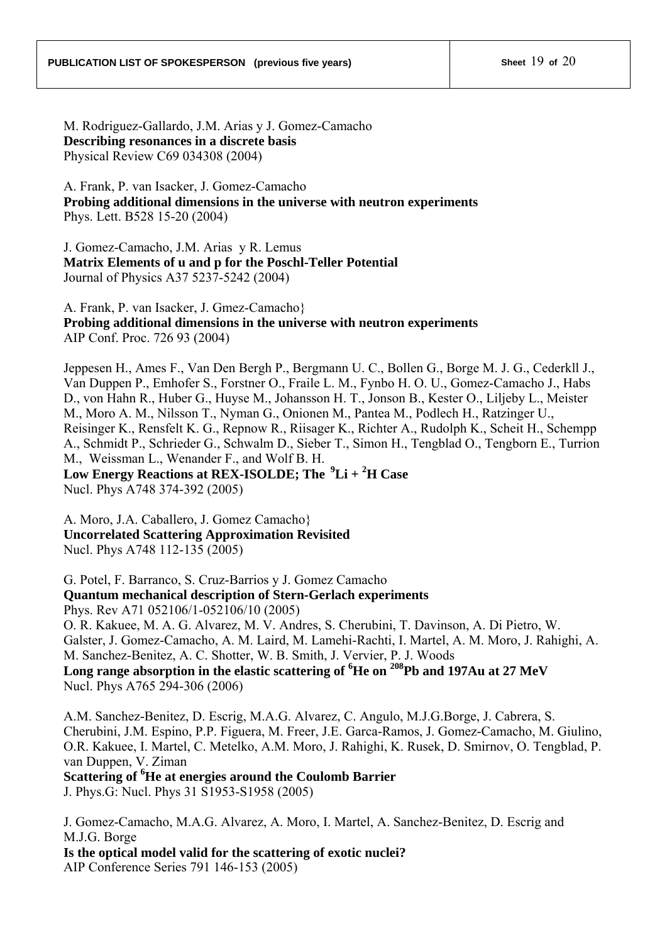M. Rodriguez-Gallardo, J.M. Arias y J. Gomez-Camacho **Describing resonances in a discrete basis**  Physical Review C69 034308 (2004)

A. Frank, P. van Isacker, J. Gomez-Camacho **Probing additional dimensions in the universe with neutron experiments**  Phys. Lett. B528 15-20 (2004)

J. Gomez-Camacho, J.M. Arias y R. Lemus **Matrix Elements of u and p for the Poschl-Teller Potential**  Journal of Physics A37 5237-5242 (2004)

A. Frank, P. van Isacker, J. Gmez-Camacho} **Probing additional dimensions in the universe with neutron experiments**  AIP Conf. Proc. 726 93 (2004)

Jeppesen H., Ames F., Van Den Bergh P., Bergmann U. C., Bollen G., Borge M. J. G., Cederkll J., Van Duppen P., Emhofer S., Forstner O., Fraile L. M., Fynbo H. O. U., Gomez-Camacho J., Habs D., von Hahn R., Huber G., Huyse M., Johansson H. T., Jonson B., Kester O., Liljeby L., Meister M., Moro A. M., Nilsson T., Nyman G., Onionen M., Pantea M., Podlech H., Ratzinger U., Reisinger K., Rensfelt K. G., Repnow R., Riisager K., Richter A., Rudolph K., Scheit H., Schempp A., Schmidt P., Schrieder G., Schwalm D., Sieber T., Simon H., Tengblad O., Tengborn E., Turrion M., Weissman L., Wenander F., and Wolf B. H. **Low Energy Reactions at REX-ISOLDE; The 9Li + 2 H Case**  Nucl. Phys A748 374-392 (2005)

A. Moro, J.A. Caballero, J. Gomez Camacho} **Uncorrelated Scattering Approximation Revisited**  Nucl. Phys A748 112-135 (2005)

G. Potel, F. Barranco, S. Cruz-Barrios y J. Gomez Camacho **Quantum mechanical description of Stern-Gerlach experiments**  Phys. Rev A71 052106/1-052106/10 (2005) O. R. Kakuee, M. A. G. Alvarez, M. V. Andres, S. Cherubini, T. Davinson, A. Di Pietro, W. Galster, J. Gomez-Camacho, A. M. Laird, M. Lamehi-Rachti, I. Martel, A. M. Moro, J. Rahighi, A. M. Sanchez-Benitez, A. C. Shotter, W. B. Smith, J. Vervier, P. J. Woods **Long range absorption in the elastic scattering of 6 He on 208Pb and 197Au at 27 MeV**  Nucl. Phys A765 294-306 (2006)

A.M. Sanchez-Benitez, D. Escrig, M.A.G. Alvarez, C. Angulo, M.J.G.Borge, J. Cabrera, S. Cherubini, J.M. Espino, P.P. Figuera, M. Freer, J.E. Garca-Ramos, J. Gomez-Camacho, M. Giulino, O.R. Kakuee, I. Martel, C. Metelko, A.M. Moro, J. Rahighi, K. Rusek, D. Smirnov, O. Tengblad, P. van Duppen, V. Ziman **Scattering of <sup>6</sup> He at energies around the Coulomb Barrier** 

J. Phys.G: Nucl. Phys 31 S1953-S1958 (2005)

J. Gomez-Camacho, M.A.G. Alvarez, A. Moro, I. Martel, A. Sanchez-Benitez, D. Escrig and M.J.G. Borge

**Is the optical model valid for the scattering of exotic nuclei?**  AIP Conference Series 791 146-153 (2005)